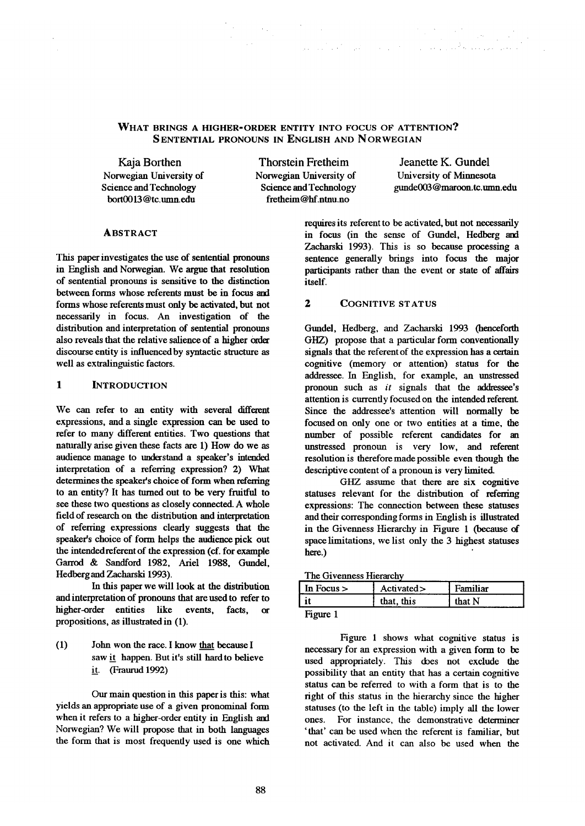# WHAT BRINGS A HIGHER-ORDER ENTITY INTO FOCUS OF ATTENTION? SENTENTIAL PRONOUNS IN ENGLISH AND NORWEGIAN

Kaja Borthen Norwegian University of Science and Technology bort0013@tc.umn.edu

Thorstein Fretheim Norwegian University of Science and Technology fretheim@hf.ntnu.no

 $\label{eq:2.1} \mathcal{L}=\frac{1}{2}\sum_{i=1}^n\frac{1}{2}\sum_{j=1}^n\frac{1}{2}\sum_{j=1}^n\frac{1}{2}\sum_{j=1}^n\frac{1}{2}\sum_{j=1}^n\frac{1}{2}\sum_{j=1}^n\frac{1}{2}\sum_{j=1}^n\frac{1}{2}\sum_{j=1}^n\frac{1}{2}\sum_{j=1}^n\frac{1}{2}\sum_{j=1}^n\frac{1}{2}\sum_{j=1}^n\frac{1}{2}\sum_{j=1}^n\frac{1}{2}\sum_{j=1}^n\frac{1}{2}\sum_{j$ 

Jeanette K. Gundel University of Minnesota gunde003 @maroon.tc.mnn.edu

## **ABSTRACT**

This paper investigates the use of sentential pronouns in English and Norwegian. We argue that resolution of sentential pronouns is sensitive to the distinction between forms whose referents must be in focus and forms whose referents must only be activated, but not necessarily in focus. An investigation of the distribution and interpretation of sentential pronouns also reveals that the relative salience of a higher order discourse endty is influenced by syntactic structure as well as extralinguistic factors.

# **1 INTRODUCTION**

We can refer to an entity with several different expressions, and a single expression can be used to refer to many different entities. Two questions that naturally arise given these facts are 1) How do we as audience manage to understand a speaker's intended interpretation of a referring expression? 2) What determines the speaker's choice of form when referring to an entity? It has turned out to be very fruitful to see these two questions as closely connected. A whole fieldof research on the distribution and interpretation of referring expressions clearly suggests that the speaker's choice of form helps the audience pick out the intendedreferent of the expression (cf. for example Garrod & Sandford 1982, Ariel 1988, Gundel, Hedberg and Zacharski 1993).

In this paper we will look at the distribution and interpretation of pronouns that are used to refer to higher -order entities like events, facts, or propositions, as illustrated in (1).

(1) John won the race. I know that became I saw it happen. But it's still hard to believe it. (Fraurud 1992)

Our main question in this paper is this: what yields an appropriate use of a given pronominal form when it refers to a higher-order entity in English and Norwegian? We will propose that in both languages the form that is most frequendy used is one which

requires its referent to be activated, but not necessarily in focus (in the sense of Gundel, Hedberg and Zacharski 1993). This is so because processing a sentence generally brings into focus the major participants rather than the event or state of affairs itsdf.

.... . • ... . .•" ..... .... . ....

### 2 COGNITIVE STATUS

Gundel, Hedberg, and Zacharski 1993 (henceforth GHZ) propose that a particular form conventionally signals that the referent of the expression has a certain cognitive (memory or attention) status for the addressee. In English, for example, an unstressed pronoun such as *it* signals that the addressee's attention is currendy focused on the intended referent. Since the addressee's attention will normally be focused on only one or two entities at a time, the number of possible referent candidates for an unstressed pronoun is very low, and referent resolution is therefore made possible even though the descriptive content of a pronoun is very limited.

GHZ assume that there are six cognitive statuses relevant for the distribution of referring expressions: The connection between these statuses and their corresponding forms in English is illustrated in the Givenness Hierarchy in Figure 1 (because of space limitations, we list only the 3 highest statuses here.)

|  | The Givenness Hierarchy |
|--|-------------------------|
|  |                         |

| In Focus $>$ | Activated> | Familiar |
|--------------|------------|----------|
|              | that, this | that N   |
| Ë            |            |          |

Figure 1

Figure 1 shows what cognitive status is necessary for an expression with a given form to be used appropriately. This does not exclude the possibility that an entity that has a certain cognitive status can be referred to with a form that is to the right of this status in the hierarchy since the higher statuses (to the left in the table) imply all the lower ones. For instance, the demonstrative determiner 'that' can be used when the referent is familiar, but not activated. And it can also be used when the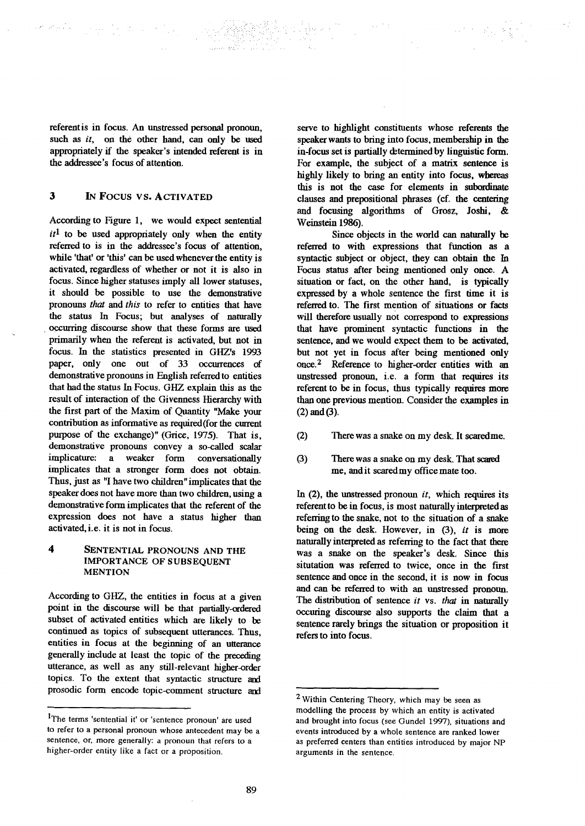referent is in focus. An unstressed personal pronoun, such as *it*, on the other hand, can only be used appropriately if the speaker's intended referent is in the addressee's focus of attention.

#### 3 IN FOCUS VS. ACTIVATED

The Control of Care

According to Figure 1, we would expect sentential  $it<sup>1</sup>$  to be used appropriately only when the entity referred to is in the addressee's focus of attention, while 'that' or 'this' can be used whenever the entity is activated, regardless of whether or not it is also in focus. Since higher statuses imply all lower statuses, it should be possible to use the demonstrative pronouns that and *this* to refer to entities that have the status In Focus; but analyses of naturally • occurring discourse show that these forms are used primarily when the referent is activated, but not in focus. In the statistics presented in GHZ's 1993 paper, only one out of 33 occurrences of demonstrative pronouns in English referred to entities that had the status In Focus. GHZ explain this as the result of interaction of the Givenness Hierarchy with the first part of the Maxim of Quantity "Make your contribution as informative as required(for the current purpose of the exchange)" (Grice, 1975). That is, demonstrative pronouns convey a so-called scalar implieature: a weaker form conversationally implicates that a stronger form does not obtain. Thus, just as "I have two children" implicates that the speaker does not have more than two children, using a demonstrative form implicates that the referent of the expression does not have a status higher than activated, i.e. it is not in focus.

**4** SENTENTIAL PRONOUNS AND THE IMPORTANCE OF SUBSEQUENT MENTION

According to GHZ, the entities in focus at a given point in the discourse will be that partially-ordered subset of activated entities which are likely to be continued as topics of subsequent utterances. Thus, endties in focus at the beginning of an utterance generally include at least the topic of the preceding utterance, as well as any still-relevant higher-order topics. To the extent that syntactic structure and prosodic form encode topic-comment structure and serve to highlight constituents whose referents the speaker wants to bring into focus, membership in the in-focus set is partially determined by linguistic form. For example, the subject of a matrix sentence is highly likely to bring an entity into focus, whereas this is not the case for elements in subordinate clauses and prepositional phrases (cf. the centering and focusing algorithms of Grosz, Joshi, & Weinstein 1986),

Since objects in the world can naturally he referred to with expressions that function as a syntactic subject or object, they can obtain the In Focus status after being mentioned only once. A situation or fact, on the other hand, is typically expressed by a whole sentence the first time it is referred to. The first mention of situations or facts will therefore usually not correspond to expressions that have prominent syntactic functions in the sentence, and we would expect them to be activated, but not yet in focus after being mentioned only once.<sup>2</sup> Reference to higher-order entities with an unstressed pronoun, i.e. a form that requires its referent to be in focus, thus typically requires more than one previous mention. Consider the examples in  $(2)$  and  $(3)$ .

- (2) There was a snake on my desk. It scaredme.
- (3) There was a snake on my desk. That scared me, and it scaredmy office mate too.

In (2), the unstressed pronoun *it,* which requires its referent to be in focus, is most naturally interpreted as referring to the snake, not to the situation of a snake being on the desk. However, in (3), *it* is more naturally interpreted as referring to the fact that there was a snake on the speaker's desk. Since this situtation was referred to twice, once in the first sentence and once in the second, it is now in focus and can be referred to with an unstressed pronoun. The distribution of sentence *it* vs. that in naturally occuring discourse also supports the claim that a sentence rarely brings the situation or proposition it refers to into focus.

<sup>1</sup>The terms 'sentential it' or 'sentence pronoun' are used to refer to a personal pronoun whose antecedent may be a sentence, or, more generally: a pronoun that refers to a higher-order entity like a fact or a proposition.

<sup>2</sup> Within Centering Theory, which may be seen as modelling the process by which an entity is activated and brought into focus (see Gundel 1997), situations and events introduced by a whole sentence are ranked lower as preferred centers than entities introduced by major NP arguments in the sentence.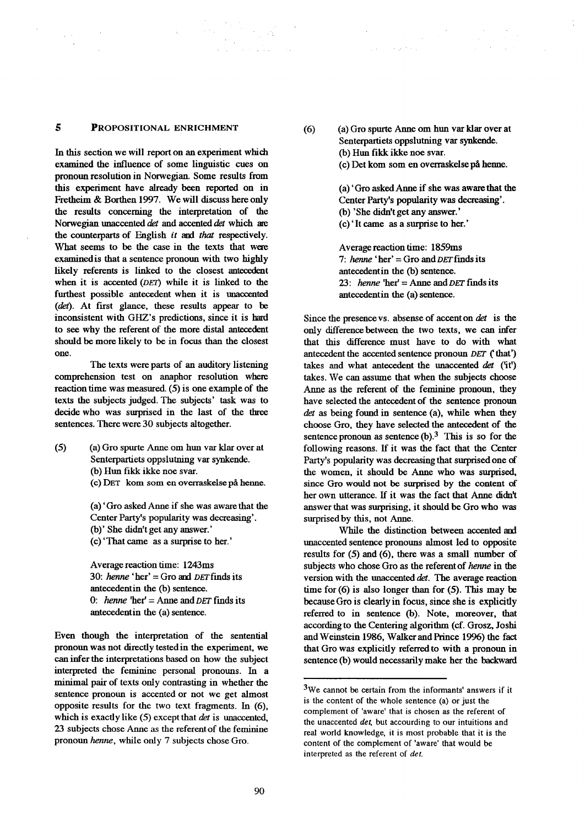#### $\overline{5}$ PROPOSITIONAL ENRICHMENT

 $\langle \tau_{\rm{eff}} \rangle$ 

 $\bar{z}$ 

 $\Delta \sim 30$ 

In this section we will report on an experiment which examined the influence of some linguistic cues on pronoun resolution in Norwegian. Some results from this experiment have already been reported on in Fretheim & Borthen 1997. We will discuss here only the results concerning the interpretation of the Norwegian unaccented det and accented det which are the counterparts of English *it and that* respectively. What seems to be the case in the texts that were examinedis that a sentence pronoun with two highly likely referents is linked to the closest antecedent when it is accented  $(DET)$  while it is linked to the furthest possible antecedent when it is unaccented (det). At first glance, these results appear to be inconsistent with GHZ's predictions, since it is hard to see why the referent of the more distal antecedent should be more likely to be in focus than the closest one.

The texts were parts of an auditory listening comprehension test on anaphor resolution where reaction time was measured. (5) is one example of the texts the subjects judged. The subjects' task was to decide who was surprised in the last of the three sentences. There were 30 subjects altogether.

(5) (a) Gro spurte Anne om hun var klar over at Senterpartiets oppslutning var synkende. (b) Hun fikk ikke noe svar. (c) DET kom som en overraskelse på henne.

> (a) 'Gro asked Anne if she was aware that the Center Party's popularity was decreasing'. (b)' She didn't get any answer.'

(c) 'That came as a surprise to her.'

Average reaction time: 1243ms 30: henne 'her' = Gro and DET finds its antecedentin the (b) sentence. 0: *henne* 'her' = Anne and *DET* finds its antecedentin the (a) sentence.

Even though the interpretation of the sentential pronoun was not directly testedin the experiment, we can infer the interpretations based on how the subject interpreted the feminine personal pronouns. In a minimal pair of texts only contrasting in whether the sentence pronoun is accented or not we get almost opposite results for the two text fragments. In (6), which is exactly like (5) except that *det* is unaccented, 23 subjects chose Anne as the referentof the feminine pronoun henne, while only 7 subjects chose Gro.

(6) (a) Gro spurte Anne om hun var klar over at Senterpartiets oppslutning var synkende. (b) Hun fikk ikke noe svar.

angele angl

(c) Det kom som en overraskelse på henne.

(a) 'Gro asked Anne if she was aware that the Center Party's popularity was decreasing'. (b) 'She didn't get any answer.'

(c)' It came as a *surprise* to her.'

Average reaction time: 1859ms 7: henne 'her' = Gro and  $DET$  finds its antecedentin the (b) sentence. 23: henne 'her' = Anne and  $DET$  finds its antecedentin the (a) sentence.

Since the presence vs. absense of accent on det is the only difference between the two texts, we can infer that this difference must have to do with what antecedent the accented sentence pronoun DET ('that') takes and what antecedent the unaccented  $det$  ('it') takes. We can assume that when the subjects choose Anne as the referent of the feminine pronoun, they have selected the antecedent of the sentence pronoun det as being found in sentence (a), while when they choose Gro, they have selected the antecedent of the sentence pronoun as sentence  $(b)$ .<sup>3</sup> This is so for the following reasons. If it was the fact that the Center Party's popularity was decreasing that surprised one of the women, it should be Anne who was surprised, since Gro would not be *surprised* by the content of her own utterance. If it was the fact that Anne didn't answer that was surprising, it should be Gro who was surprised by this, not Anne.

While the distinction between accented and unaccented sentence pronouns almost led to opposite results for (5) and (6), there was a small number of subjects who chose Gro as the referent of henne in the version with the unaccented det. The average reaction time for (6) is also longer than for (5). This may be became Gro is dearly in focus, since she is explicitly referred to in sentence (b). Note, moreover, that according to the Centering algorithm (cf. Grosz, Joshi and Weinstein 1986, Walker and Prince 1996) the fact that Gro was explicitly referred to with a pronoun in sentence (b) would necessarily make her the backward

<sup>3</sup>We cannot be certain from the informants' answers if it is the content of the whole sentence (a) or just the complement of 'aware' that is chosen as the referent of the unaccented *det.* but aceourding to our intuitions and real world knowledge, it is most probable that it is the content of the complement of 'aware' that would be interpreted as the referent of *det.*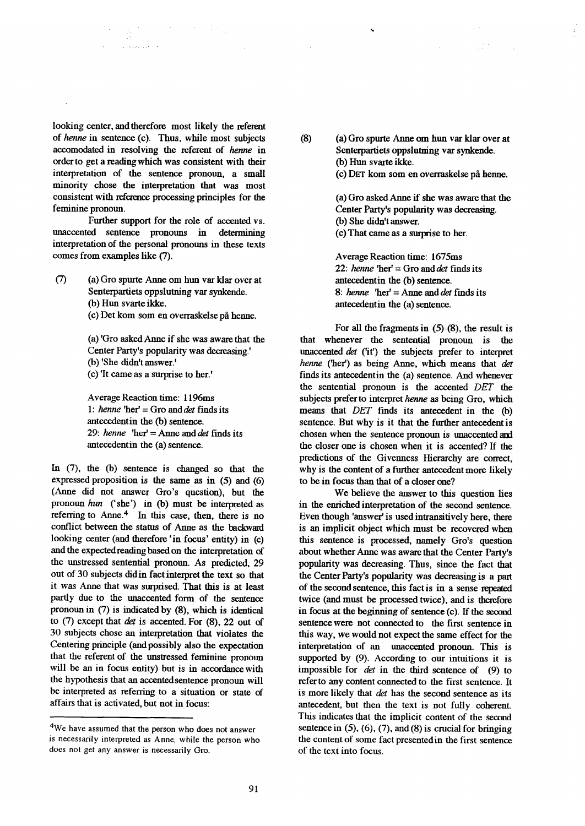looking center, and therefore most likely the referent of henne in sentence (c). Thus, while most subjects accomodated in resolving the referent of henne in order to get a reading which was consistent with their interpretation of the sentence pronoun, a small minority chose the interpretation that was most consistent with refeaence processing principles for the feminine pronoun.

• ,... , •

Further support for the role of accented vs. unaccented sentence pronouns in determining interpretation of the personal pronouns in these texts comes from examples like (7).

(7) (a) Gro spurte Anne om hun var klar over at Senterpartiets oppslutning var synkende. (b) Hun svarte ikke.

(c) Det kom som en overraskelse på henne.

(a) 'Gro asked Anne if she was aware that the Center Party's popularity was decreasing.' (b) 'She didn't answer.' (c) 'It came as a surprise to her.'

Average Reaction time: 1196ms 1: henne 'her' = Gro and det finds its antecedentin the (b) sentence. 29: henne  $\text{``her'} = \text{Anne and } \text{det} \text{ finds its}$ antecedentin the (a) sentence.

In (7), the (b) sentence is changed so that the expressed proposition is the same as in (5) and (6) (Anne did not answer Gro's question), but the pronoun hun ('she') in (b) must be interpreted as referring to Anne. $4$  In this case, then, there is no conflict between the status of Anne as the backward looking center (and therefore 'in focus' entity) in (c) and the expected readingbased on the interpretation of the unstressed sentential pronoun. As predicted, 29 out of 30 subjects didin fact interpret the text so that it was Anne that was surprised. That this is at least partly due to the unaccented form of the sentence pronoun in (7) is indicated by (8), which is identical to  $(7)$  except that *det* is accented. For  $(8)$ , 22 out of 30 subjects chose an interpretation that violates the Centering principle (and possibly also the expectation that the referent of the unstressed feminine pronoun will be an in focus entity) but is in accordance with the hypothesis that an accented sentence pronoun will be interpreted as referring to a situation or state of affairs that is activated, but not in focus:

 $(8)$ (a) Gro spurte Anne om hun var klar over at Senterpartiets oppslutning var synkende. (b) Hun svarte ikke.

 $\ddot{\phantom{0}}$ 

(c) DET kom som en overraskelse ph heune.

(a) Gro asked Anne if she was aware that the Center Party's popularity was decreasing. (b) She didn't answer. (c) That came as a surprise to her.

Average Reaction time: 1675ms 22: henne 'her' = Gro and det finds its antecedentin the (b) sentence. 8: henne 'her' = Anne and det finds its antecedentin the (a) sentence.

For all the fragments in (5)-(8), the result is that whenever the sentential pronoun is the unaccented det ('it') the subjects prefer to interpret henne ('her') as being Anne, which means that det finds its antecedentin the (a) sentence. And whenever the sentential pronoun is the accented *DET the*  subjects prefer to interpret henne as being Gro, which means that *DET* finds its antecedent in the (b) sentence. But why is it that the further antecedent is chosen when the sentence pronoun is unaccented and the closer one is chosen when it is accented? If the predictions of the Givenness Hierarchy are correct, why is the content of a further antecedent more likely to be in focus than that of a closer one?

We believe the answer to this question lies in the enriched interpretation of the second sentence. Even though 'answer' is used intransitively here, there is an implicit object which must be recovered when this sentence is processed, namely Gro's question about whether Anne was aware that the Center Party's popularity was decreasing. *Thus,* since the fact that the Center Party's popularity was decreasing is a part of the second sentence, this fact is in a sense repeated twice (and must be processed twice), and is therefore in focus at the beginning of sentence  $(c)$ . If the second sentence were not connected to the first sentence in this way, we would not expect the same effect for the interpretation of an unaccented pronoun. This is supported by (9). According to our intuitions it is impossible for det in the third sentence of (9) to referto any content connected to the first sentence. It is more likely that *det* has the second sentence as its antecedent, but then the text is not fully coherent. This indicates that the implicit content of the second sentence in  $(5)$ ,  $(6)$ ,  $(7)$ , and  $(8)$  is crucial for bringing the content of some fact presented in the first sentence of the text into focus.

<sup>4</sup>We have assumed that the person who does not answer is necessarily interpreted as Anne. while the person who does not get any answer is necessarily Gro.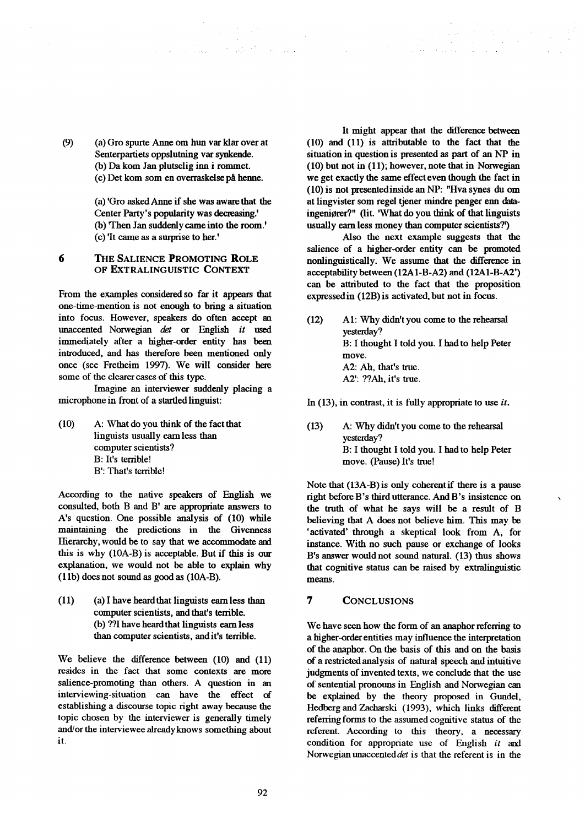(9) (a) Gro spurte Anne om hun var klar over at Senterpartiets oppslutning var synkende. (b) Dakom Jan plutselig inn i rommet. (c) Det kom sore en overraskelse p& heune.

> (a) 'Gro askedAnne if she was awarethat the Center Party's popularity was decreasing.' (b) 'Then Jan suddenly came into the room.' (c) 'It came as a surprise to her.'

 $\label{eq:2} \mathcal{F}_{\frac{1}{2}}(x,y) = \mathcal{F}_{\frac{1}{2}}(x,y) = \mathcal{F}_{\frac{1}{2}}(x,y)$ 

### 6 THE SALIENCE PROMOTING ROLE OF EXTRALINGUISTIC CONTEXT

From the examples considered so far it appears that one-time-mention is not enough to bring a situation into focus. However, speakers do often accept an unaccented Norwegian *det* or English *it* used immediately after a higher-order entity has been introduced, and has therefore been mentioned only once (see Fretheim 1997). We will consider here some of the clearer cases of this type.

Imagine an interviewer suddenly placing a microphone in front of a startled linguist:

(10) A: What do you think of the fact that linguists usually eamless than computer scientists? B: It's terrible! B': That's terrible!

According to the native speakers of English we consulted, both B and B' are appropriate answers to A's question. One possible *analysis* of (10) while maintaining the predictions in the Givenness Hierarchy, would be to say that we accommodate and this is why (10A-B) is acceptable. But if this is our explanation, we would not be able to explain why (1 lb) does not sound as good as (10A-B).

 $(11)$  (a) I have heard that linguists earn less than computer scientists, and that's terrible. (b) ??I have heard that linguists earn less than computer scientists, and it's terrible.

We believe the difference between (10) and (11) resides in the fact that some contexts are more salience-promoting than others. A question in an interviewing-situation can have the effect of establishing a discourse topic right away because the topic chosen by the interviewer is generally timely and/or the interviewee alreadyknows something about it.

It might appear that the difference between (10) and (11) is attributable to the fact that the situation in question is presented as part of an NP in (10) but not in (11); however, note that in Norwegian we get exactly the same effect even though the fact in (10) is not presentedinside an NP: "Hva synes du om at lingvister som regel tiener mindre penger enn dataingeniører?" (lit. 'What do you think of that linguists usually earn less money than computer scientists?')

 $\sim 10^{-1}$  M

Also the next example suggests that the salience of a higher-order entity can be promoted nonlinguistically. We assume that the difference in acceptability between (12A1-B-A2) and (12A1-B-A2') can be attributed to the fact that the proposition expressed in (12B) is activated, but not in focus.

- (12) AI: Why didn't you come to the rehearsal yesterday? B: I thought I told you. I hadto help Peter move. A2: Ah, that's true. A2': ??Ah, it's true.
- In (13), in contrast, it is fully appropriate to use *it.*
- (13) A: Why didn't you come to the rehearsal yesterday? B: I thought I told you. I hadto help Peter move. (Pause) It's true!

Note that  $(13A-B)$  is only coherent if there is a pause right before B's third utterance. And B's insistence on the truth of what he says will be a result of B believing that A does not believe him. This may be 'activated' through a skeptical look from A, for instance. With no such pause or exchange of looks B's answer wonldnot sound natural. (13) thus shows that cognitive status can be raised by extralinguistic means.

 $\lambda$ 

# 77 CONCLUSIONS

We have seen how the form of an anaphor referring to a higher-order entities may influence the interpretation of the anaphor. On the basis of this and on the basis of a restrietedanalysis of natural speech and intuitive judgments of invented texts, we conclude that the use of sentential pronouns in English and Norwegian can be explained by the theory proposed in Gundel, Hedberg and Zacharski (1993), which links different referring forms to the assumed cognitive status of the referent. According to this theory, a necessary condition for appropriate use of English *it and*  Norwegian unaccenteddet is that the referent is in the